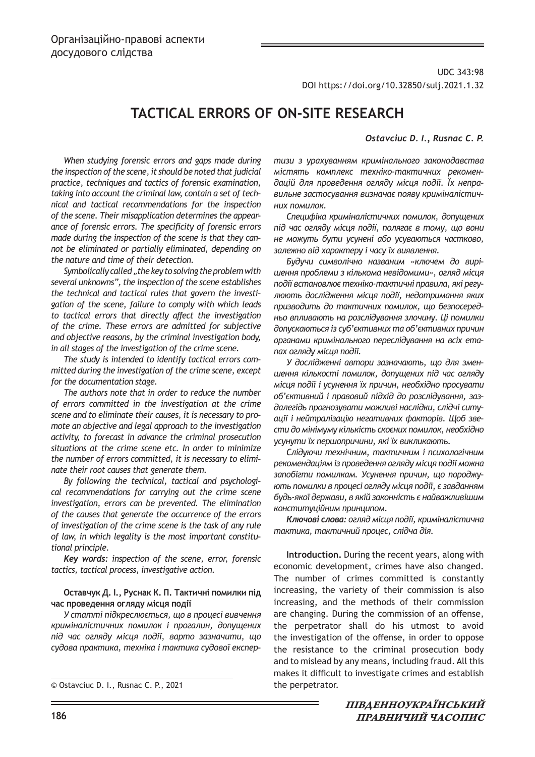UDC 343:98 DOI https://doi.org/10.32850/sulj.2021.1.32

# **TACTICAL ERRORS OF ON-SITE RESEARCH**

#### *Ostavciuc D. I., Rusnac C. P.*

*When studying forensic errors and gaps made during the inspection of the scene, it should be noted that judicial practice, techniques and tactics of forensic examination, taking into account the criminal law, contain a set of technical and tactical recommendations for the inspection of the scene. Their misapplication determines the appearance of forensic errors. The specificity of forensic errors made during the inspection of the scene is that they cannot be eliminated or partially eliminated, depending on the nature and time of their detection.*

*Symbolically called "the key to solving the problem with several unknowns", the inspection of the scene establishes the technical and tactical rules that govern the investigation of the scene, failure to comply with which leads to tactical errors that directly affect the investigation of the crime. These errors are admitted for subjective and objective reasons, by the criminal investigation body, in all stages of the investigation of the crime scene.*

*The study is intended to identify tactical errors committed during the investigation of the crime scene, except for the documentation stage.*

*The authors note that in order to reduce the number of errors committed in the investigation at the crime scene and to eliminate their causes, it is necessary to promote an objective and legal approach to the investigation activity, to forecast in advance the criminal prosecution situations at the crime scene etc. In order to minimize the number of errors committed, it is necessary to eliminate their root causes that generate them.*

*By following the technical, tactical and psychological recommendations for carrying out the crime scene investigation, errors can be prevented. The elimination of the causes that generate the occurrence of the errors of investigation of the crime scene is the task of any rule of law, in which legality is the most important constitutional principle.*

*Key words: inspection of the scene, error, forensic tactics, tactical process, investigative action.*

#### **Оставчук Д. І., Руснак К. П. Тактичні помилки під час проведення огляду місця події**

*У статті підкреслюється, що в процесі вивчення криміналістичних помилок і прогалин, допущених під час огляду місця події, варто зазначити, що судова практика, техніка і тактика судової експер-*

*тизи з урахуванням кримінального законодавства містять комплекс техніко-тактичних рекомендацій для проведення огляду місця події. Їх неправильне застосування визначає появу криміналістичних помилок.*

*Специфіка криміналістичних помилок, допущених під час огляду місця події, полягає в тому, що вони не можуть бути усунені або усуваються частково, залежно від характеру і часу їх виявлення.*

*Будучи символічно названим «ключем до вирішення проблеми з кількома невідомими», огляд місця події встановлює техніко-тактичні правила, які регулюють дослідження місця події, недотримання яких призводить до тактичних помилок, що безпосередньо впливають на розслідування злочину. Ці помилки допускаються із суб'єктивних та об'єктивних причин органами кримінального переслідування на всіх етапах огляду місця події.*

*У дослідженні автори зазначають, що для зменшення кількості помилок, допущених під час огляду місця події і усунення їх причин, необхідно просувати об'єктивний і правовий підхід до розслідування, заздалегідь прогнозувати можливі наслідки, слідчі ситуації і нейтралізацію негативних факторів. Щоб звести до мінімуму кількість скоєних помилок, необхідно усунути їх першопричини, які їх викликають.*

*Слідуючи технічним, тактичним і психологічним рекомендаціям із проведення огляду місця події можна запобігти помилкам. Усунення причин, що породжують помилки в процесі огляду місця події, є завданням будь-якої держави, в якій законність є найважливішим конституційним принципом.*

*Ключові слова: огляд місця події, криміналістична тактика, тактичний процес, слідча дія.*

**Introduction.** During the recent years, along with economic development, crimes have also changed. The number of crimes committed is constantly increasing, the variety of their commission is also increasing, and the methods of their commission are changing. During the commission of an offense, the perpetrator shall do his utmost to avoid the investigation of the offense, in order to oppose the resistance to the criminal prosecution body and to mislead by any means, including fraud. All this makes it difficult to investigate crimes and establish

<sup>©</sup> Ostavciuc D. I., Rusnac C. P., 2021 the perpetrator.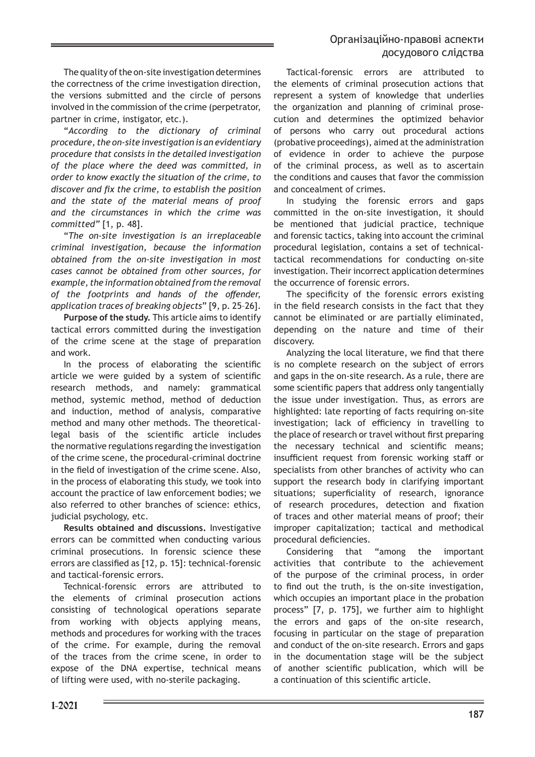The quality of the on-site investigation determines the correctness of the crime investigation direction, the versions submitted and the circle of persons involved in the commission of the crime (perpetrator, partner in crime, instigator, etc.).

"*According to the dictionary of criminal procedure, the on-site investigation is an evidentiary procedure that consists in the detailed investigation of the place where the deed was committed, in order to know exactly the situation of the crime, to discover and fix the crime, to establish the position and the state of the material means of proof and the circumstances in which the crime was committed"* [1, p. 48].

"*The on-site investigation is an irreplaceable criminal investigation, because the information obtained from the on-site investigation in most cases cannot be obtained from other sources, for example, the information obtained from the removal of the footprints and hands of the offender, application traces of breaking objects*" [9, p. 25–26].

**Purpose of the study.** This article aims to identify tactical errors committed during the investigation of the crime scene at the stage of preparation and work.

In the process of elaborating the scientific article we were guided by a system of scientific research methods, and namely: grammatical method, systemic method, method of deduction and induction, method of analysis, comparative method and many other methods. The theoreticallegal basis of the scientific article includes the normative regulations regarding the investigation of the crime scene, the procedural-criminal doctrine in the field of investigation of the crime scene. Also, in the process of elaborating this study, we took into account the practice of law enforcement bodies; we also referred to other branches of science: ethics, judicial psychology, etc.

**Results obtained and discussions.** Investigative errors can be committed when conducting various criminal prosecutions. In forensic science these errors are classified as [12, p. 15]: technical-forensic and tactical-forensic errors.

Technical-forensic errors are attributed to the elements of criminal prosecution actions consisting of technological operations separate from working with objects applying means, methods and procedures for working with the traces of the crime. For example, during the removal of the traces from the crime scene, in order to expose of the DNA expertise, technical means of lifting were used, with no-sterile packaging.

Tactical-forensic errors are attributed to the elements of criminal prosecution actions that represent a system of knowledge that underlies the organization and planning of criminal prosecution and determines the optimized behavior of persons who carry out procedural actions (probative proceedings), aimed at the administration of evidence in order to achieve the purpose of the criminal process, as well as to ascertain the conditions and causes that favor the commission and concealment of crimes.

In studying the forensic errors and gaps committed in the on-site investigation, it should be mentioned that judicial practice, technique and forensic tactics, taking into account the criminal procedural legislation, contains a set of technicaltactical recommendations for conducting on-site investigation. Their incorrect application determines the occurrence of forensic errors.

The specificity of the forensic errors existing in the field research consists in the fact that they cannot be eliminated or are partially eliminated, depending on the nature and time of their discovery.

Analyzing the local literature, we find that there is no complete research on the subject of errors and gaps in the on-site research. As a rule, there are some scientific papers that address only tangentially the issue under investigation. Thus, as errors are highlighted: late reporting of facts requiring on-site investigation; lack of efficiency in travelling to the place of research or travel without first preparing the necessary technical and scientific means; insufficient request from forensic working staff or specialists from other branches of activity who can support the research body in clarifying important situations; superficiality of research, ignorance of research procedures, detection and fixation of traces and other material means of proof; their improper capitalization; tactical and methodical procedural deficiencies.

Considering that "among the important activities that contribute to the achievement of the purpose of the criminal process, in order to find out the truth, is the on-site investigation, which occupies an important place in the probation process" [7, p. 175], we further aim to highlight the errors and gaps of the on-site research, focusing in particular on the stage of preparation and conduct of the on-site research. Errors and gaps in the documentation stage will be the subject of another scientific publication, which will be a continuation of this scientific article.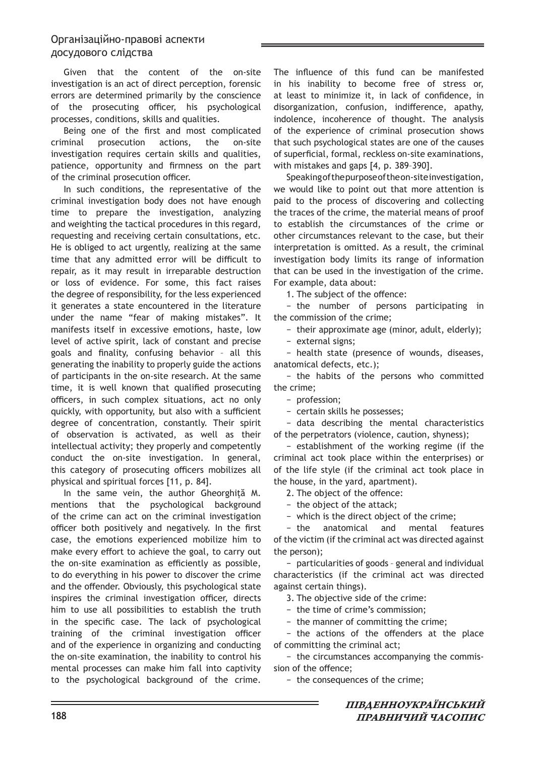Given that the content of the on-site investigation is an act of direct perception, forensic errors are determined primarily by the conscience of the prosecuting officer, his psychological processes, conditions, skills and qualities.

Being one of the first and most complicated criminal prosecution actions, the on-site investigation requires certain skills and qualities, patience, opportunity and firmness on the part of the criminal prosecution officer.

In such conditions, the representative of the criminal investigation body does not have enough time to prepare the investigation, analyzing and weighting the tactical procedures in this regard, requesting and receiving certain consultations, etc. He is obliged to act urgently, realizing at the same time that any admitted error will be difficult to repair, as it may result in irreparable destruction or loss of evidence. For some, this fact raises the degree of responsibility, for the less experienced it generates a state encountered in the literature under the name "fear of making mistakes". It manifests itself in excessive emotions, haste, low level of active spirit, lack of constant and precise goals and finality, confusing behavior – all this generating the inability to properly guide the actions of participants in the on-site research. At the same time, it is well known that qualified prosecuting officers, in such complex situations, act no only quickly, with opportunity, but also with a sufficient degree of concentration, constantly. Their spirit of observation is activated, as well as their intellectual activity; they properly and competently conduct the on-site investigation. In general, this category of prosecuting officers mobilizes all physical and spiritual forces [11, p. 84].

In the same vein, the author Gheorghiță M. mentions that the psychological background of the crime can act on the criminal investigation officer both positively and negatively. In the first case, the emotions experienced mobilize him to make every effort to achieve the goal, to carry out the on-site examination as efficiently as possible, to do everything in his power to discover the crime and the offender. Obviously, this psychological state inspires the criminal investigation officer, directs him to use all possibilities to establish the truth in the specific case. The lack of psychological training of the criminal investigation officer and of the experience in organizing and conducting the on-site examination, the inability to control his mental processes can make him fall into captivity to the psychological background of the crime.

The influence of this fund can be manifested in his inability to become free of stress or, at least to minimize it, in lack of confidence, in disorganization, confusion, indifference, apathy, indolence, incoherence of thought. The analysis of the experience of criminal prosecution shows that such psychological states are one of the causes of superficial, formal, reckless on-site examinations, with mistakes and gaps [4, p. 389–390].

Speaking of the purpose of the on-site investigation, we would like to point out that more attention is paid to the process of discovering and collecting the traces of the crime, the material means of proof to establish the circumstances of the crime or other circumstances relevant to the case, but their interpretation is omitted. As a result, the criminal investigation body limits its range of information that can be used in the investigation of the crime. For example, data about:

1. The subject of the offence:

− the number of persons participating in the commission of the crime;

− their approximate age (minor, adult, elderly);

− external signs;

− health state (presence of wounds, diseases, anatomical defects, etc.);

− the habits of the persons who committed the crime;

− profession;

− certain skills he possesses;

− data describing the mental characteristics of the perpetrators (violence, caution, shyness);

− establishment of the working regime (if the criminal act took place within the enterprises) or of the life style (if the criminal act took place in the house, in the yard, apartment).

2. The object of the offence:

− the object of the attack;

− which is the direct object of the crime;

− the anatomical and mental features of the victim (if the criminal act was directed against the person);

− particularities of goods – general and individual characteristics (if the criminal act was directed against certain things).

3. The objective side of the crime:

− the time of crime's commission;

− the manner of committing the crime;

− the actions of the offenders at the place of committing the criminal act;

− the circumstances accompanying the commission of the offence;

− the consequences of the crime;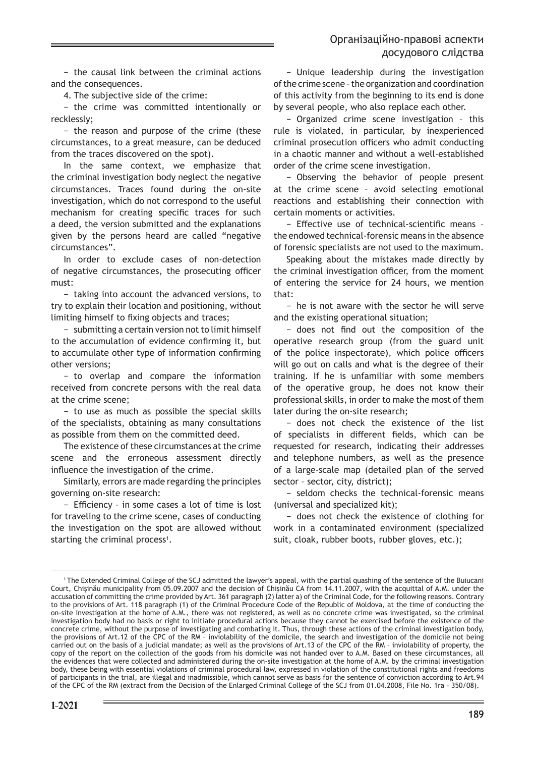− the causal link between the criminal actions and the consequences.

4. The subjective side of the crime:

− the crime was committed intentionally or recklessly;

− the reason and purpose of the crime (these circumstances, to a great measure, can be deduced from the traces discovered on the spot).

In the same context, we emphasize that the criminal investigation body neglect the negative circumstances. Traces found during the on-site investigation, which do not correspond to the useful mechanism for creating specific traces for such a deed, the version submitted and the explanations given by the persons heard are called "negative circumstances".

In order to exclude cases of non-detection of negative circumstances, the prosecuting officer must:

− taking into account the advanced versions, to try to explain their location and positioning, without limiting himself to fixing objects and traces;

− submitting a certain version not to limit himself to the accumulation of evidence confirming it, but to accumulate other type of information confirming other versions;

− to overlap and compare the information received from concrete persons with the real data at the crime scene;

− to use as much as possible the special skills of the specialists, obtaining as many consultations as possible from them on the committed deed.

The existence of these circumstances at the crime scene and the erroneous assessment directly influence the investigation of the crime.

Similarly, errors are made regarding the principles governing on-site research:

− Efficiency – in some cases a lot of time is lost for traveling to the crime scene, cases of conducting the investigation on the spot are allowed without starting the criminal process<sup>1</sup>.

− Unique leadership during the investigation of the crime scene – the organization and coordination of this activity from the beginning to its end is done by several people, who also replace each other.

− Organized crime scene investigation – this rule is violated, in particular, by inexperienced criminal prosecution officers who admit conducting in a chaotic manner and without a well-established order of the crime scene investigation.

− Observing the behavior of people present at the crime scene – avoid selecting emotional reactions and establishing their connection with certain moments or activities.

− Effective use of technical-scientific means – the endowed technical-forensic means in the absence of forensic specialists are not used to the maximum.

Speaking about the mistakes made directly by the criminal investigation officer, from the moment of entering the service for 24 hours, we mention that:

− he is not aware with the sector he will serve and the existing operational situation;

− does not find out the composition of the operative research group (from the guard unit of the police inspectorate), which police officers will go out on calls and what is the degree of their training. If he is unfamiliar with some members of the operative group, he does not know their professional skills, in order to make the most of them later during the on-site research;

− does not check the existence of the list of specialists in different fields, which can be requested for research, indicating their addresses and telephone numbers, as well as the presence of a large-scale map (detailed plan of the served sector – sector, city, district);

− seldom checks the technical-forensic means (universal and specialized kit);

− does not check the existence of clothing for work in a contaminated environment (specialized suit, cloak, rubber boots, rubber gloves, etc.);

<sup>1</sup> The Extended Criminal College of the SCJ admitted the lawyer's appeal, with the partial quashing of the sentence of the Buiucani Court, Chişinău municipality from 05.09.2007 and the decision of Chişinău CA from 14.11.2007, with the acquittal of A.M. under the accusation of committing the crime provided by Art. 361 paragraph (2) latter a) of the Criminal Code, for the following reasons. Contrary to the provisions of Art. 118 paragraph (1) of the Criminal Procedure Code of the Republic of Moldova, at the time of conducting the on-site investigation at the home of A.M., there was not registered, as well as no concrete crime was investigated, so the criminal investigation body had no basis or right to initiate procedural actions because they cannot be exercised before the existence of the concrete crime, without the purpose of investigating and combating it. Thus, through these actions of the criminal investigation body, the provisions of Art.12 of the CPC of the RM – inviolability of the domicile, the search and investigation of the domicile not being carried out on the basis of a judicial mandate; as well as the provisions of Art.13 of the CPC of the RM – inviolability of property, the copy of the report on the collection of the goods from his domicile was not handed over to A.M. Based on these circumstances, all the evidences that were collected and administered during the on-site investigation at the home of A.M. by the criminal investigation body, these being with essential violations of criminal procedural law, expressed in violation of the constitutional rights and freedoms of participants in the trial, are illegal and inadmissible, which cannot serve as basis for the sentence of conviction according to Art.94 of the CPC of the RM (extract from the Decision of the Enlarged Criminal College of the SCJ from 01.04.2008, File No. 1ra – 350/08).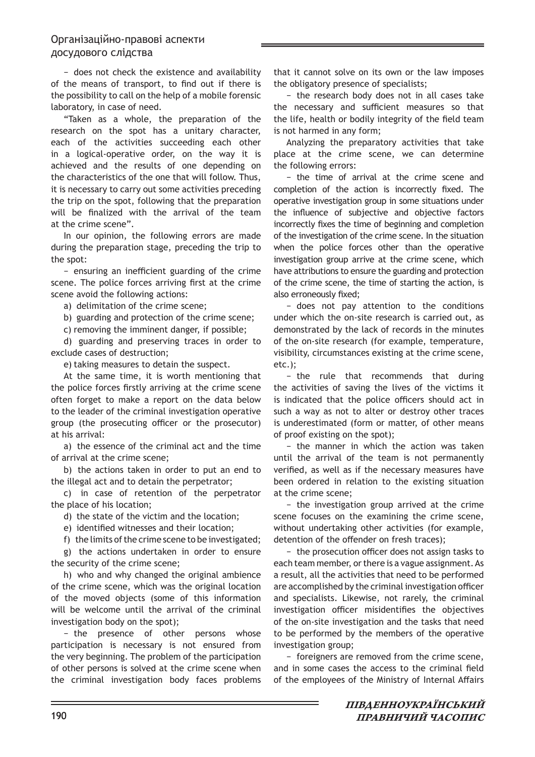− does not check the existence and availability of the means of transport, to find out if there is the possibility to call on the help of a mobile forensic laboratory, in case of need.

"Taken as a whole, the preparation of the research on the spot has a unitary character, each of the activities succeeding each other in a logical-operative order, on the way it is achieved and the results of one depending on the characteristics of the one that will follow. Thus, it is necessary to carry out some activities preceding the trip on the spot, following that the preparation will be finalized with the arrival of the team at the crime scene".

In our opinion, the following errors are made during the preparation stage, preceding the trip to the spot:

− ensuring an inefficient guarding of the crime scene. The police forces arriving first at the crime scene avoid the following actions:

a) delimitation of the crime scene;

b) guarding and protection of the crime scene;

c) removing the imminent danger, if possible;

d) guarding and preserving traces in order to exclude cases of destruction;

e) taking measures to detain the suspect.

At the same time, it is worth mentioning that the police forces firstly arriving at the crime scene often forget to make a report on the data below to the leader of the criminal investigation operative group (the prosecuting officer or the prosecutor) at his arrival:

a) the essence of the criminal act and the time of arrival at the crime scene;

b) the actions taken in order to put an end to the illegal act and to detain the perpetrator;

c) in case of retention of the perpetrator the place of his location;

d) the state of the victim and the location;

e) identified witnesses and their location;

f) the limits of the crime scene to be investigated;

g) the actions undertaken in order to ensure the security of the crime scene;

h) who and why changed the original ambience of the crime scene, which was the original location of the moved objects (some of this information will be welcome until the arrival of the criminal investigation body on the spot);

− the presence of other persons whose participation is necessary is not ensured from the very beginning. The problem of the participation of other persons is solved at the crime scene when the criminal investigation body faces problems

that it cannot solve on its own or the law imposes the obligatory presence of specialists;

− the research body does not in all cases take the necessary and sufficient measures so that the life, health or bodily integrity of the field team is not harmed in any form;

Analyzing the preparatory activities that take place at the crime scene, we can determine the following errors:

− the time of arrival at the crime scene and completion of the action is incorrectly fixed. The operative investigation group in some situations under the influence of subjective and objective factors incorrectly fixes the time of beginning and completion of the investigation of the crime scene. In the situation when the police forces other than the operative investigation group arrive at the crime scene, which have attributions to ensure the guarding and protection of the crime scene, the time of starting the action, is also erroneously fixed;

− does not pay attention to the conditions under which the on-site research is carried out, as demonstrated by the lack of records in the minutes of the on-site research (for example, temperature, visibility, circumstances existing at the crime scene, etc.);

− the rule that recommends that during the activities of saving the lives of the victims it is indicated that the police officers should act in such a way as not to alter or destroy other traces is underestimated (form or matter, of other means of proof existing on the spot);

− the manner in which the action was taken until the arrival of the team is not permanently verified, as well as if the necessary measures have been ordered in relation to the existing situation at the crime scene;

− the investigation group arrived at the crime scene focuses on the examining the crime scene, without undertaking other activities (for example, detention of the offender on fresh traces);

− the prosecution officer does not assign tasks to each team member, or there is a vague assignment. As a result, all the activities that need to be performed are accomplished by the criminal investigation officer and specialists. Likewise, not rarely, the criminal investigation officer misidentifies the objectives of the on-site investigation and the tasks that need to be performed by the members of the operative investigation group;

− foreigners are removed from the crime scene, and in some cases the access to the criminal field of the employees of the Ministry of Internal Affairs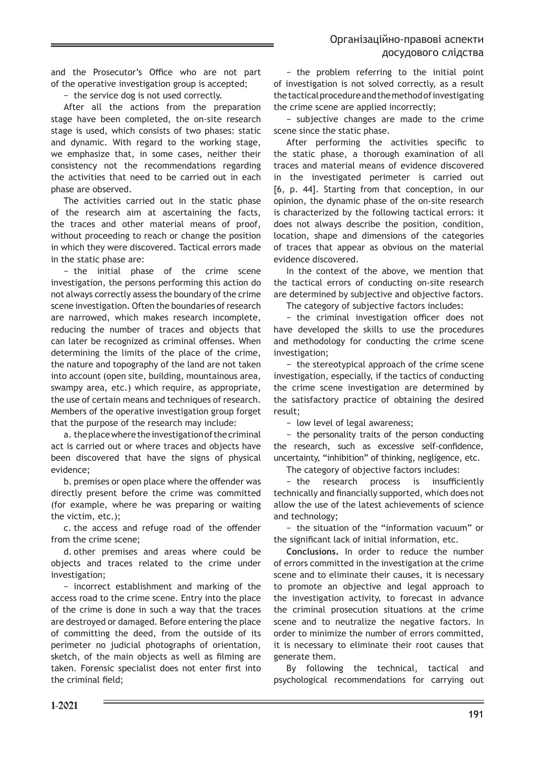and the Prosecutor's Office who are not part of the operative investigation group is accepted;

− the service dog is not used correctly.

After all the actions from the preparation stage have been completed, the on-site research stage is used, which consists of two phases: static and dynamic. With regard to the working stage, we emphasize that, in some cases, neither their consistency not the recommendations regarding the activities that need to be carried out in each phase are observed.

The activities carried out in the static phase of the research aim at ascertaining the facts, the traces and other material means of proof, without proceeding to reach or change the position in which they were discovered. Tactical errors made in the static phase are:

− the initial phase of the crime scene investigation, the persons performing this action do not always correctly assess the boundary of the crime scene investigation. Often the boundaries of research are narrowed, which makes research incomplete, reducing the number of traces and objects that can later be recognized as criminal offenses. When determining the limits of the place of the crime, the nature and topography of the land are not taken into account (open site, building, mountainous area, swampy area, etc.) which require, as appropriate, the use of certain means and techniques of research. Members of the operative investigation group forget that the purpose of the research may include:

a. the place where the investigation of the criminal act is carried out or where traces and objects have been discovered that have the signs of physical evidence;

b. premises or open place where the offender was directly present before the crime was committed (for example, where he was preparing or waiting the victim, etc.);

c. the access and refuge road of the offender from the crime scene;

d. other premises and areas where could be objects and traces related to the crime under investigation;

− incorrect establishment and marking of the access road to the crime scene. Entry into the place of the crime is done in such a way that the traces are destroyed or damaged. Before entering the place of committing the deed, from the outside of its perimeter no judicial photographs of orientation, sketch, of the main objects as well as filming are taken. Forensic specialist does not enter first into the criminal field;

− the problem referring to the initial point of investigation is not solved correctly, as a result the tactical procedure and the method of investigating the crime scene are applied incorrectly;

− subjective changes are made to the crime scene since the static phase.

After performing the activities specific to the static phase, a thorough examination of all traces and material means of evidence discovered in the investigated perimeter is carried out [6, p. 44]. Starting from that conception, in our opinion, the dynamic phase of the on-site research is characterized by the following tactical errors: it does not always describe the position, condition, location, shape and dimensions of the categories of traces that appear as obvious on the material evidence discovered.

In the context of the above, we mention that the tactical errors of conducting on-site research are determined by subjective and objective factors.

The category of subjective factors includes:

− the criminal investigation officer does not have developed the skills to use the procedures and methodology for conducting the crime scene investigation;

− the stereotypical approach of the crime scene investigation, especially, if the tactics of conducting the crime scene investigation are determined by the satisfactory practice of obtaining the desired result;

− low level of legal awareness;

− the personality traits of the person conducting the research, such as excessive self-confidence, uncertainty, "inhibition" of thinking, negligence, etc.

The category of objective factors includes:

− the research process is insufficiently technically and financially supported, which does not allow the use of the latest achievements of science and technology;

− the situation of the "information vacuum" or the significant lack of initial information, etc.

**Conclusions.** In order to reduce the number of errors committed in the investigation at the crime scene and to eliminate their causes, it is necessary to promote an objective and legal approach to the investigation activity, to forecast in advance the criminal prosecution situations at the crime scene and to neutralize the negative factors. In order to minimize the number of errors committed, it is necessary to eliminate their root causes that generate them.

By following the technical, tactical and psychological recommendations for carrying out